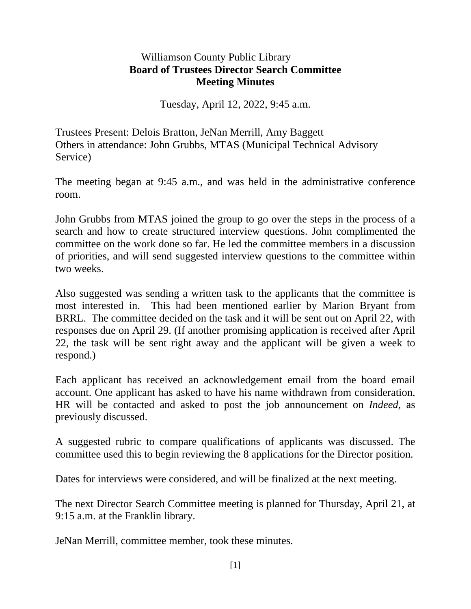## Williamson County Public Library **Board of Trustees Director Search Committee Meeting Minutes**

Tuesday, April 12, 2022, 9:45 a.m.

Trustees Present: Delois Bratton, JeNan Merrill, Amy Baggett Others in attendance: John Grubbs, MTAS (Municipal Technical Advisory Service)

The meeting began at 9:45 a.m., and was held in the administrative conference room.

John Grubbs from MTAS joined the group to go over the steps in the process of a search and how to create structured interview questions. John complimented the committee on the work done so far. He led the committee members in a discussion of priorities, and will send suggested interview questions to the committee within two weeks.

Also suggested was sending a written task to the applicants that the committee is most interested in. This had been mentioned earlier by Marion Bryant from BRRL. The committee decided on the task and it will be sent out on April 22, with responses due on April 29. (If another promising application is received after April 22, the task will be sent right away and the applicant will be given a week to respond.)

Each applicant has received an acknowledgement email from the board email account. One applicant has asked to have his name withdrawn from consideration. HR will be contacted and asked to post the job announcement on *Indeed*, as previously discussed.

A suggested rubric to compare qualifications of applicants was discussed. The committee used this to begin reviewing the 8 applications for the Director position.

Dates for interviews were considered, and will be finalized at the next meeting.

The next Director Search Committee meeting is planned for Thursday, April 21, at 9:15 a.m. at the Franklin library.

JeNan Merrill, committee member, took these minutes.